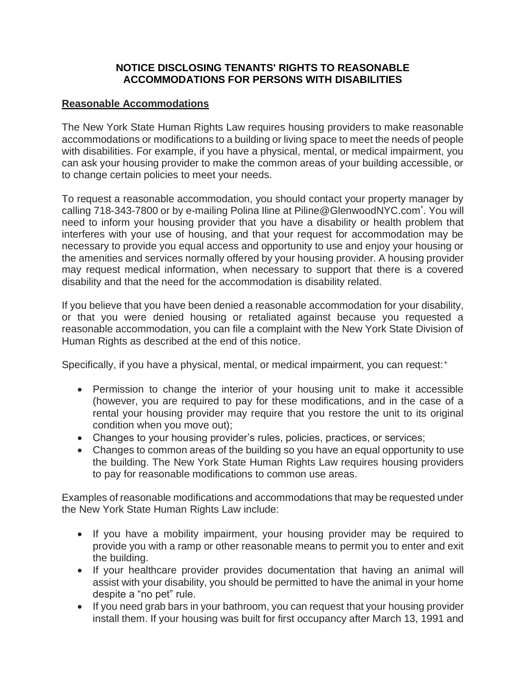## **NOTICE DISCLOSING TENANTS' RIGHTS TO REASONABLE ACCOMMODATIONS FOR PERSONS WITH DISABILITIES**

## **Reasonable Accommodations**

The New York State Human Rights Law requires housing providers to make reasonable accommodations or modifications to a building or living space to meet the needs of people with disabilities. For example, if you have a physical, mental, or medical impairment, you can ask your housing provider to make the common areas of your building accessible, or to change certain policies to meet your needs.

To request a reasonable accommodation, you should contact your property manager by calling 718-343-7800 or by e-mailing Polina Iline at Piline@GlenwoodNYC.com<sup>\*</sup>. You will need to inform your housing provider that you have a disability or health problem that interferes with your use of housing, and that your request for accommodation may be necessary to provide you equal access and opportunity to use and enjoy your housing or the amenities and services normally offered by your housing provider. A housing provider may request medical information, when necessary to support that there is a covered disability and that the need for the accommodation is disability related.

If you believe that you have been denied a reasonable accommodation for your disability, or that you were denied housing or retaliated against because you requested a reasonable accommodation, you can file a complaint with the New York State Division of Human Rights as described at the end of this notice.

Specifically, if you have a physical, mental, or medical impairment, you can request:<sup>+</sup>

- Permission to change the interior of your housing unit to make it accessible (however, you are required to pay for these modifications, and in the case of a rental your housing provider may require that you restore the unit to its original condition when you move out);
- Changes to your housing provider's rules, policies, practices, or services;
- Changes to common areas of the building so you have an equal opportunity to use the building. The New York State Human Rights Law requires housing providers to pay for reasonable modifications to common use areas.

Examples of reasonable modifications and accommodations that may be requested under the New York State Human Rights Law include:

- If you have a mobility impairment, your housing provider may be required to provide you with a ramp or other reasonable means to permit you to enter and exit the building.
- If your healthcare provider provides documentation that having an animal will assist with your disability, you should be permitted to have the animal in your home despite a "no pet" rule.
- If you need grab bars in your bathroom, you can request that your housing provider install them. If your housing was built for first occupancy after March 13, 1991 and